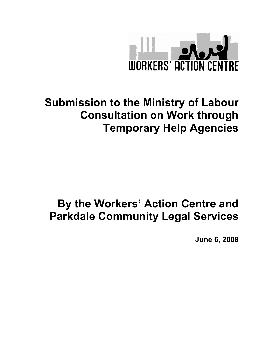

# Submission to the Ministry of Labour Consultation on Work through Temporary Help Agencies

# By the Workers' Action Centre and Parkdale Community Legal Services

June 6, 2008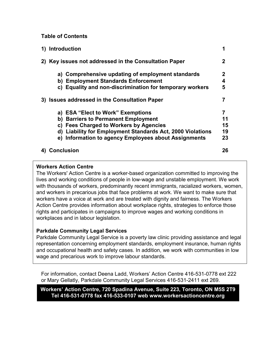## Table of Contents

| 1) Introduction                                                      |    |
|----------------------------------------------------------------------|----|
| Key issues not addressed in the Consultation Paper                   | 2  |
| a) Comprehensive updating of employment standards                    | 2  |
| b) Employment Standards Enforcement                                  | 4  |
| c) Equality and non-discrimination for temporary workers             | 5  |
| 3) Issues addressed in the Consultation Paper                        |    |
| a) ESA "Elect to Work" Exemptions                                    |    |
| <b>Barriers to Permanent Employment</b><br>b)                        | 11 |
| <b>Fees Charged to Workers by Agencies</b><br>C)                     | 15 |
| <b>Liability for Employment Standards Act, 2000 Violations</b><br>d) | 19 |
| e) Information to agency Employees about Assignments                 | 23 |
| <b>Conclusion</b>                                                    | 26 |

## Workers Action Centre

The Workers' Action Centre is a worker-based organization committed to improving the lives and working conditions of people in low-wage and unstable employment. We work with thousands of workers, predominantly recent immigrants, racialized workers, women, and workers in precarious jobs that face problems at work. We want to make sure that workers have a voice at work and are treated with dignity and fairness. The Workers Action Centre provides information about workplace rights, strategies to enforce those rights and participates in campaigns to improve wages and working conditions in workplaces and in labour legislation.

## Parkdale Community Legal Services

Parkdale Community Legal Service is a poverty law clinic providing assistance and legal representation concerning employment standards, employment insurance, human rights and occupational health and safety cases. In addition, we work with communities in low wage and precarious work to improve labour standards.

For information, contact Deena Ladd, Workers' Action Centre 416-531-0778 ext 222 or Mary Gellatly, Parkdale Community Legal Services 416-531-2411 ext 269.

Workers' Action Centre, 720 Spadina Avenue, Suite 223, Toronto, ON M5S 2T9 Tel 416-531-0778 fax 416-533-0107 web www.workersactioncentre.org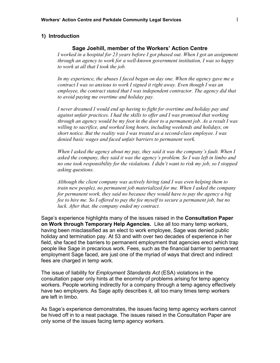#### 1) Introduction

#### Sage Joehill, member of the Workers' Action Centre

I worked in a hospital for 23 years before I got phased out. When I got an assignment through an agency to work for a well-known government institution, I was so happy to work at all that I took the job.

In my experience, the abuses I faced began on day one. When the agency gave me a contract I was so anxious to work I signed it right away. Even though I was an employee, the contract stated that I was independent contractor. The agency did that to avoid paying me overtime and holiday pay.

I never dreamed I would end up having to fight for overtime and holiday pay and against unfair practices. I had the skills to offer and I was promised that working through an agency would be my foot in the door to a permanent job. As a result I was willing to sacrifice, and worked long hours, including weekends and holidays, on short notice. But the reality was I was treated as a second-class employee. I was denied basic wages and faced unfair barriers to permanent work.

When I asked the agency about my pay, they said it was the company's fault. When I asked the company, they said it was the agency's problem. So I was left in limbo and no one took responsibility for the violations. I didn't want to risk my job, so I stopped asking questions.

Although the client company was actively hiring (and I was even helping them to train new people), no permanent job materialized for me. When I asked the company for permanent work, they said no because they would have to pay the agency a big fee to hire me. So I offered to pay the fee myself to secure a permanent job, but no luck. After that, the company ended my contract.

Sage's experience highlights many of the issues raised in the Consultation Paper on Work through Temporary Help Agencies. Like all too many temp workers, having been misclassified as an elect to work employee, Sage was denied public holiday and termination pay. At 53 and with over two decades of experience in her field, she faced the barriers to permanent employment that agencies erect which trap people like Sage in precarious work. Fees, such as the financial barrier to permanent employment Sage faced, are just one of the myriad of ways that direct and indirect fees are charged in temp work.

The issue of liability for *Employment Standards Act* (ESA) violations in the consultation paper only hints at the enormity of problems arising for temp agency workers. People working indirectly for a company through a temp agency effectively have two employers. As Sage aptly describes it, all too many times temp workers are left in limbo.

As Sage's experience demonstrates, the issues facing temp agency workers cannot be hived off in to a neat package. The issues raised in the Consultation Paper are only some of the issues facing temp agency workers.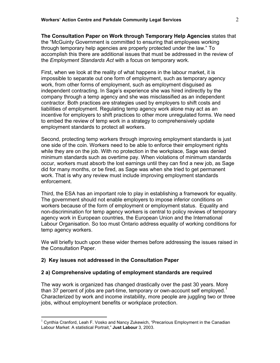The Consultation Paper on Work through Temporary Help Agencies states that the "McGuinty Government is committed to ensuring that employees working through temporary help agencies are properly protected under the law." To accomplish this there are additional issues that must be addressed in the review of the Employment Standards Act with a focus on temporary work.

First, when we look at the reality of what happens in the labour market, it is impossible to separate out one form of employment, such as temporary agency work, from other forms of employment, such as employment disguised as independent contracting. In Sage's experience she was hired indirectly by the company through a temp agency and she was misclassified as an independent contractor. Both practices are strategies used by employers to shift costs and liabilities of employment. Regulating temp agency work alone may act as an incentive for employers to shift practices to other more unregulated forms. We need to embed the review of temp work in a strategy to comprehensively update employment standards to protect all workers.

Second, protecting temp workers through improving employment standards is just one side of the coin. Workers need to be able to enforce their employment rights while they are on the job. With no protection in the workplace, Sage was denied minimum standards such as overtime pay. When violations of minimum standards occur, workers must absorb the lost earnings until they can find a new job, as Sage did for many months, or be fired, as Sage was when she tried to get permanent work. That is why any review must include improving employment standards enforcement.

Third, the ESA has an important role to play in establishing a framework for equality. The government should not enable employers to impose inferior conditions on workers because of the form of employment or employment status. Equality and non-discrimination for temp agency workers is central to policy reviews of temporary agency work in European countries, the European Union and the International Labour Organisation. So too must Ontario address equality of working conditions for temp agency workers.

We will briefly touch upon these wider themes before addressing the issues raised in the Consultation Paper.

## 2) Key issues not addressed in the Consultation Paper

l.

#### 2 a) Comprehensive updating of employment standards are required

The way work is organized has changed drastically over the past 30 years. More than 37 percent of jobs are part-time, temporary or own-account self employed.<sup>1</sup> Characterized by work and income instability, more people are juggling two or three jobs, without employment benefits or workplace protection.

 $1$  Cynthia Cranford, Leah F. Vosko and Nancy Zukewich, "Precarious Employment in the Canadian Labour Market: A statistical Portrait," Just Labour 3, 2003.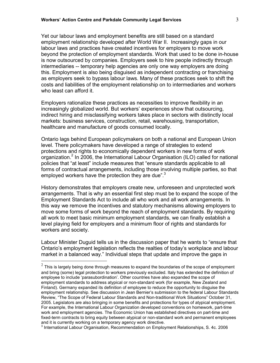Yet our labour laws and employment benefits are still based on a standard employment relationship developed after World War II. Increasingly gaps in our labour laws and practices have created incentives for employers to move work beyond the protection of employment standards. Work that used to be done in-house is now outsourced by companies. Employers seek to hire people indirectly through intermediaries -- temporary help agencies are only one way employers are doing this. Employment is also being disguised as independent contracting or franchising as employers seek to bypass labour laws. Many of these practices seek to shift the costs and liabilities of the employment relationship on to intermediaries and workers who least can afford it.

Employers rationalize these practices as necessities to improve flexibility in an increasingly globalized world. But workers' experiences show that outsourcing, indirect hiring and misclassifying workers takes place in sectors with distinctly local markets: business services, construction, retail, warehousing, transportation, healthcare and manufacture of goods consumed locally.

Ontario lags behind European policymakers on both a national and European Union level. There policymakers have developed a range of strategies to extend protections and rights to economically dependent workers in new forms of work organization.<sup>2</sup> In 2006, the International Labour Organisation (ILO) called for national policies that "at least" include measures that "ensure standards applicable to all forms of contractual arrangements, including those involving multiple parties, so that employed workers have the protection they are due". $3$ 

History demonstrates that employers create new, unforeseen and unprotected work arrangements. That is why an essential first step must be to expand the scope of the Employment Standards Act to include all who work and all work arrangements. In this way we remove the incentives and statutory mechanisms allowing employers to move some forms of work beyond the reach of employment standards. By requiring all work to meet basic minimum employment standards, we can finally establish a level playing field for employers and a minimum floor of rights and standards for workers and society.

Labour Minister Duguid tells us in the discussion paper that he wants to "ensure that Ontario's employment legislation reflects the realties of today's workplace and labour market in a balanced way." Individual steps that update and improve the gaps in l.

 $^2$  This is largely being done through measures to expand the boundaries of the scope of employment and bring (some) legal protection to workers previously excluded. Italy has extended the definition of employee to include 'parasubordination'. Other countries have also expanded the scope of employment standards to address atypical or non-standard work (for example, New Zealand and Finland). Germany expanded its definition of employee to reduce the opportunity to disguise the employment relationship. See discussion in Jean Bernier's submission to the federal Labour Standards Review, "The Scope of Federal Labour Standards and Non-traditional Work Situations" October 31, 2005. Legislators are also bringing in some benefits and protections for types of atypical employment. For example, the International Labour Organization developed conventions on homework, part-time work and employment agencies. The Economic Union has established directives on part-time and fixed-term contracts to bring equity between atypical or non-standard work and permanent employees and it is currently working on a temporary agency work directive.

<sup>&</sup>lt;sup>3</sup> International Labour Organisation, Recommendation on Employment Relationships, S. 4c. 2006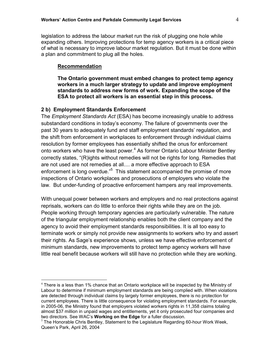legislation to address the labour market run the risk of plugging one hole while expanding others. Improving protections for temp agency workers is a critical piece of what is necessary to improve labour market regulation. But it must be done within a plan and commitment to plug all the holes.

#### Recommendation

l.

The Ontario government must embed changes to protect temp agency workers in a much larger strategy to update and improve employment standards to address new forms of work. Expanding the scope of the ESA to protect all workers is an essential step in this process.

#### 2 b) Employment Standards Enforcement

The *Employment Standards Act* (ESA) has become increasingly unable to address substandard conditions in today's economy. The failure of governments over the past 30 years to adequately fund and staff employment standards' regulation, and the shift from enforcement in workplaces to enforcement through individual claims resolution by former employees has essentially shifted the onus for enforcement onto workers who have the least power.<sup>4</sup> As former Ontario Labour Minister Bentley correctly states, "(R)ights without remedies will not be rights for long. Remedies that are not used are not remedies at all.... a more effective approach to ESA enforcement is long overdue."<sup>5</sup> This statement accompanied the promise of more inspections of Ontario workplaces and prosecutions of employers who violate the law. But under-funding of proactive enforcement hampers any real improvements.

With unequal power between workers and employers and no real protections against reprisals, workers can do little to enforce their rights while they are on the job. People working through temporary agencies are particularly vulnerable. The nature of the triangular employment relationship enables both the client company and the agency to avoid their employment standards responsibilities. It is all too easy to terminate work or simply not provide new assignments to workers who try and assert their rights. As Sage's experience shows, unless we have effective enforcement of minimum standards, new improvements to protect temp agency workers will have little real benefit because workers will still have no protection while they are working.

 $4$  There is a less than 1% chance that an Ontario workplace will be inspected by the Ministry of Labour to determine if minimum employment standards are being complied with. When violations are detected through individual claims by largely former employees, there is no protection for current employees. There is little consequence for violating employment standards. For example, in 2005-06, the Ministry found that employers violated workers rights in 11,358 claims totaling almost \$37 million in unpaid wages and entitlements, yet it only prosecuted four companies and two directors. See WAC's **Working on the Edge** for a fuller discussion.

 $5$  The Honorable Chris Bentley, Statement to the Legislature Regarding 60-hour Work Week, Queen's Park, April 26, 2004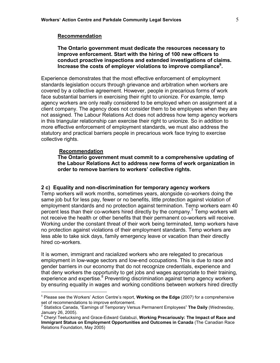#### Recommendation

#### The Ontario government must dedicate the resources necessary to improve enforcement. Start with the hiring of 100 new officers to conduct proactive inspections and extended investigations of claims. Increase the costs of employer violations to improve compliance $6$ .

Experience demonstrates that the most effective enforcement of employment standards legislation occurs through grievance and arbitration when workers are covered by a collective agreement. However, people in precarious forms of work face substantial barriers in exercising their right to unionize. For example, temp agency workers are only really considered to be employed when on assignment at a client company. The agency does not consider them to be employees when they are not assigned. The Labour Relations Act does not address how temp agency workers in this triangular relationship can exercise their right to unionize. So in addition to more effective enforcement of employment standards, we must also address the statutory and practical barriers people in precarious work face trying to exercise collective rights.

#### Recommendation

l.

The Ontario government must commit to a comprehensive updating of the Labour Relations Act to address new forms of work organization in order to remove barriers to workers' collective rights.

#### 2 c) Equality and non-discrimination for temporary agency workers

Temp workers will work months, sometimes years, alongside co-workers doing the same job but for less pay, fewer or no benefits, little protection against violation of employment standards and no protection against termination. Temp workers earn 40 percent less than their co-workers hired directly by the company.<sup>7</sup> Temp workers will not receive the health or other benefits that their permanent co-workers will receive. Working under the constant threat of their work being terminated, temp workers have no protection against violations of their employment standards. Temp workers are less able to take sick days, family emergency leave or vacation than their directly hired co-workers.

It is women, immigrant and racialized workers who are relegated to precarious employment in low-wage sectors and low-end occupations. This is due to race and gender barriers in our economy that do not recognize credentials, experience and that deny workers the opportunity to get jobs and wages appropriate to their training, experience and expertise.<sup>8</sup> Preventing discrimination against temp agency workers by ensuring equality in wages and working conditions between workers hired directly

 $6$  Please see the Workers' Action Centre's report, **Working on the Edge** (2007) for a comprehensive set of recommendations to improve enforcement.<br><sup>7</sup> Statistics Canada, "Earnings of Temporary Versus Permanent Employees" **The Daily** (Wednesday,

January 26, 2005).<br><sup>8</sup> Cheryl Teelucksing and Grace-Edward Galabuzi, **Working Precariously: The Impact of Race and** Immigrant Status on Employment Opportunities and Outcomes in Canada (The Canadian Race Relations Foundation, May 2005)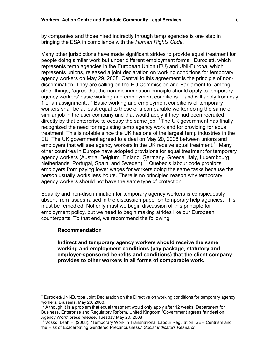by companies and those hired indirectly through temp agencies is one step in bringing the ESA in compliance with the Human Rights Code.

Many other jurisdictions have made significant strides to provide equal treatment for people doing similar work but under different employment forms. Eurociett, which represents temp agencies in the European Union (EU) and UNI-Europa, which represents unions, released a joint declaration on working conditions for temporary agency workers on May 29, 2008. Central to this agreement is the principle of nondiscrimination. They are calling on the EU Commission and Parliament to, among other things, "agree that the non-discrimination principle should apply to temporary agency workers' basic working and employment conditions… and will apply from day 1 of an assignment…" Basic working and employment conditions of temporary workers shall be at least equal to those of a comparable worker doing the same or similar job in the user company and that would apply if they had been recruited directly by that enterprise to occupy the same job.<sup>9</sup> The UK government has finally recognized the need for regulating temp agency work and for providing for equal treatment. This is notable since the UK has one of the largest temp industries in the EU. The UK government agreed to a deal on May 20, 2008 between unions and employers that will see agency workers in the UK receive equal treatment.<sup>10</sup> Many other countries in Europe have adopted provisions for equal treatment for temporary agency workers (Austria, Belgium, Finland, Germany, Greece, Italy, Luxembourg, Netherlands, Portugal, Spain, and Sweden).<sup>11</sup> Quebec's labour code prohibits employers from paying lower wages for workers doing the same tasks because the person usually works less hours. There is no principled reason why temporary agency workers should not have the same type of protection.

Equality and non-discrimination for temporary agency workers is conspicuously absent from issues raised in the discussion paper on temporary help agencies. This must be remedied. Not only must we begin discussion of this principle for employment policy, but we need to begin making strides like our European counterparts. To that end, we recommend the following.

#### Recommendation

l.

Indirect and temporary agency workers should receive the same working and employment conditions (pay package, statutory and employer-sponsored benefits and conditions) that the client company provides to other workers in all forms of comparable work.

<sup>&</sup>lt;sup>9</sup> Eurociett/UNI-Europa Joint Declaration on the Directive on working conditions for temporary agency workers, Brussels, May 28, 2008.

 $10$  Although it is a problem that equal treatment would only apply after 12 weeks. Department for Business, Enterprise and Regulatory Reform, United Kingdom "Government agrees fair deal on Agency Work" press release, Tuesday May 20, 2008

<sup>&</sup>lt;sup>11</sup> Vosko, Leah F. (2008). "Temporary Work in Transnational Labour Regulation: SER Centrism and the Risk of Exacerbating Gendered Precariousness." Social Indicators Research.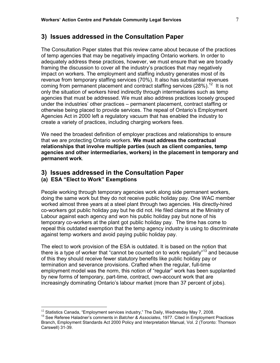The Consultation Paper states that this review came about because of the practices of temp agencies that may be negatively impacting Ontario workers. In order to adequately address these practices, however, we must ensure that we are broadly framing the discussion to cover all the industry's practices that may negatively impact on workers. The employment and staffing industry generates most of its revenue from temporary staffing services (70%). It also has substantial revenues coming from permanent placement and contract staffing services  $(28\%)$ <sup>12</sup> It is not only the situation of workers hired indirectly through intermediaries such as temp agencies that must be addressed. We must also address practices loosely grouped under the industries' other practices – permanent placement, contract staffing or otherwise being placed to provide services. The repeal of Ontario's Employment Agencies Act in 2000 left a regulatory vacuum that has enabled the industry to create a variety of practices, including charging workers fees.

We need the broadest definition of employer practices and relationships to ensure that we are protecting Ontario workers. We must address the contractual relationships that involve multiple parties (such as client companies, temp agencies and other intermediaries, workers) in the placement in temporary and permanent work.

## 3) Issues addressed in the Consultation Paper

## (a) ESA "Elect to Work" Exemptions

l.

People working through temporary agencies work along side permanent workers, doing the same work but they do not receive public holiday pay. One WAC member worked almost three years at a steel plant through two agencies. His directly-hired co-workers got public holiday pay but he did not. He filed claims at the Ministry of Labour against each agency and won his public holiday pay but none of his temporary co-workers at the plant got public holiday pay. The time has come to repeal this outdated exemption that the temp agency industry is using to discriminate against temp workers and avoid paying public holiday pay.

The elect to work provision of the ESA is outdated. It is based on the notion that there is a type of worker that "cannot be counted on to work regularly"<sup>13</sup> and because of this they should receive fewer statutory benefits like public holiday pay or termination and severance provisions. Crafted when the regular, full-time employment model was the norm, this notion of "regular" work has been supplanted by new forms of temporary, part-time, contract, own-account work that are increasingly dominating Ontario's labour market (more than 37 percent of jobs).

 $12$  Statistics Canada, "Employment services industry," The Daily, Wednesday May 7, 2008.

<sup>&</sup>lt;sup>13</sup> See Referee Haladner's comments in Batcher & Associates, 1977. Cited in Employment Practices Branch, Employment Standards Act 2000 Policy and Interpretation Manual, Vol. 2 (Toronto: Thomson Carswell) 31-39.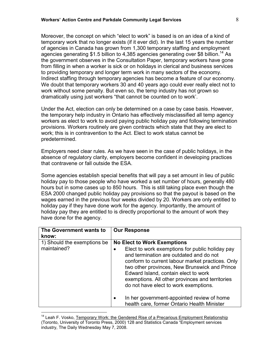Moreover, the concept on which "elect to work" is based is on an idea of a kind of temporary work that no longer exists (if it ever did). In the last 15 years the number of agencies in Canada has grown from 1,300 temporary staffing and employment agencies generating \$1.5 billion to 4,385 agencies generating over \$8 billion.<sup>14</sup> As the government observes in the Consultation Paper, temporary workers have gone from filling in when a worker is sick or on holidays in clerical and business services to providing temporary and longer term work in many sectors of the economy. Indirect staffing through temporary agencies has become a feature of our economy. We doubt that temporary workers 30 and 40 years ago could ever really elect not to work without some penalty. But even so, the temp industry has not grown so dramatically using just workers "that cannot be counted on to work'.

Under the Act, election can only be determined on a case by case basis. However, the temporary help industry in Ontario has effectively misclassified all temp agency workers as elect to work to avoid paying public holiday pay and following termination provisions. Workers routinely are given contracts which state that they are elect to work; this is in contravention to the Act. Elect to work status cannot be predetermined.

Employers need clear rules. As we have seen in the case of public holidays, in the absence of regulatory clarity, employers become confident in developing practices that contravene or fall outside the ESA.

Some agencies establish special benefits that will pay a set amount in lieu of public holiday pay to those people who have worked a set number of hours, generally 480 hours but in some cases up to 850 hours. This is still taking place even though the ESA 2000 changed public holiday pay provisions so that the payout is based on the wages earned in the previous four weeks divided by 20. Workers are only entitled to holiday pay if they have done work for the agency. Importantly, the amount of holiday pay they are entitled to is directly proportional to the amount of work they have done for the agency.

| The Government wants to<br>know:           | <b>Our Response</b>                                                                                                                                                                                                                                                                                                                                                       |
|--------------------------------------------|---------------------------------------------------------------------------------------------------------------------------------------------------------------------------------------------------------------------------------------------------------------------------------------------------------------------------------------------------------------------------|
| 1) Should the exemptions be<br>maintained? | <b>No Elect to Work Exemptions</b><br>Elect to work exemptions for public holiday pay<br>and termination are outdated and do not<br>conform to current labour market practices. Only<br>two other provinces, New Brunswick and Prince<br>Edward Island, contain elect to work<br>exemptions. All other provinces and territories<br>do not have elect to work exemptions. |
|                                            | In her government-appointed review of home<br>health care, former Ontario Health Minister                                                                                                                                                                                                                                                                                 |

<sup>&</sup>lt;sup>14</sup> Leah F. Vosko, Temporary Work: the Gendered Rise of a Precarious Employment Relationship (Toronto, University of Toronto Press, 2000) 128 and Statistics Canada "Employment services industry, The Daily Wednesday May 7, 2008.

l.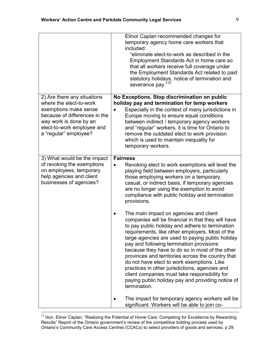|                                                                                                                                                                                                   | Elinor Caplan recommended changes for<br>temporary agency home care workers that<br>included:<br>"eliminate elect-to-work as described in the<br>Employment Standards Act in home care so<br>that all workers receive full coverage under<br>the Employment Standards Act related to paid<br>statutory holidays, notice of termination and<br>severance pay."15                                                                                                                                                                                                                                                                  |
|---------------------------------------------------------------------------------------------------------------------------------------------------------------------------------------------------|----------------------------------------------------------------------------------------------------------------------------------------------------------------------------------------------------------------------------------------------------------------------------------------------------------------------------------------------------------------------------------------------------------------------------------------------------------------------------------------------------------------------------------------------------------------------------------------------------------------------------------|
| 2) Are there any situations<br>where the elect-to-work<br>exemptions make sense<br>because of differences in the<br>way work is done by an<br>elect-to-work employee and<br>a "regular" employee? | No Exceptions. Stop discrimination on public<br>holiday pay and termination for temp workers<br>Especially in the context of many jurisdictions in<br>Europe moving to ensure equal conditions<br>between indirect / temporary agency workers<br>and "regular" workers, it is time for Ontario to<br>remove the outdated elect to work provision<br>which is used to maintain inequality for<br>temporary workers.                                                                                                                                                                                                               |
| 3) What would be the impact<br>of revoking the exemptions<br>on employees, temporary<br>help agencies and client<br>businesses of agencies?                                                       | <b>Fairness</b><br>Revoking elect to work exemptions will level the<br>playing field between employers, particularly<br>those employing workers on a temporary,<br>casual, or indirect basis, if temporary agencies<br>are no longer using the exemption to avoid<br>compliance with public holiday and termination<br>provisions.                                                                                                                                                                                                                                                                                               |
|                                                                                                                                                                                                   | The main impact on agencies and client<br>companies will be financial in that they will have<br>to pay public holiday and adhere to termination<br>requirements, like other employers. Most of the<br>large agencies are used to paying public holiday<br>pay and following termination provisions<br>because they have to do so in most of the other<br>provinces and territories across the country that<br>do not have elect to work exemptions. Like<br>practices in other jurisdictions, agencies and<br>client companies must take responsibility for<br>paying public holiday pay and providing notice of<br>termination. |
|                                                                                                                                                                                                   | The impact for temporary agency workers will be<br>significant. Workers will be able to join co-                                                                                                                                                                                                                                                                                                                                                                                                                                                                                                                                 |

<sup>&</sup>lt;sup>15</sup> Hon. Elinor Caplan, "Realizing the Potential of Home Care: Competing for Excellence by Rewarding Results" Report of the Ontario government's review of the competitive bidding process used by Ontario's Community Care Access Centres (CCACs) to select providers of goods and services. p 29.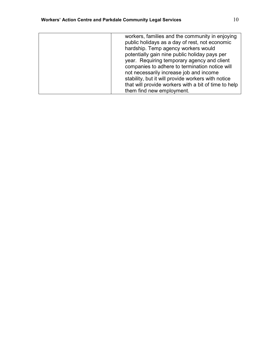| workers, families and the community in enjoying      |
|------------------------------------------------------|
| public holidays as a day of rest, not economic       |
| hardship. Temp agency workers would                  |
| potentially gain nine public holiday pays per        |
| year. Requiring temporary agency and client          |
| companies to adhere to termination notice will       |
| not necessarily increase job and income              |
| stability, but it will provide workers with notice   |
| that will provide workers with a bit of time to help |
| them find new employment.                            |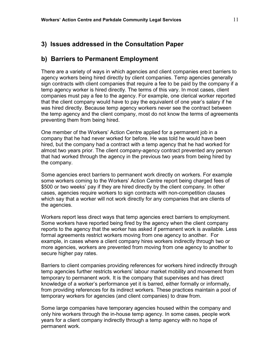## b) Barriers to Permanent Employment

There are a variety of ways in which agencies and client companies erect barriers to agency workers being hired directly by client companies. Temp agencies generally sign contracts with client companies that require a fee to be paid by the company if a temp agency worker is hired directly. The terms of this vary. In most cases, client companies must pay a fee to the agency. For example, one clerical worker reported that the client company would have to pay the equivalent of one year's salary if he was hired directly. Because temp agency workers never see the contract between the temp agency and the client company, most do not know the terms of agreements preventing them from being hired.

One member of the Workers' Action Centre applied for a permanent job in a company that he had never worked for before. He was told he would have been hired, but the company had a contract with a temp agency that he had worked for almost two years prior. The client company-agency contract prevented any person that had worked through the agency in the previous two years from being hired by the company.

Some agencies erect barriers to permanent work directly on workers. For example some workers coming to the Workers' Action Centre report being charged fees of \$500 or two weeks' pay if they are hired directly by the client company. In other cases, agencies require workers to sign contracts with non-competition clauses which say that a worker will not work directly for any companies that are clients of the agencies.

Workers report less direct ways that temp agencies erect barriers to employment. Some workers have reported being fired by the agency when the client company reports to the agency that the worker has asked if permanent work is available. Less formal agreements restrict workers moving from one agency to another. For example, in cases where a client company hires workers indirectly through two or more agencies, workers are prevented from moving from one agency to another to secure higher pay rates.

Barriers to client companies providing references for workers hired indirectly through temp agencies further restricts workers' labour market mobility and movement from temporary to permanent work. It is the company that supervises and has direct knowledge of a worker's performance yet it is barred, either formally or informally, from providing references for its indirect workers. These practices maintain a pool of temporary workers for agencies (and client companies) to draw from.

Some large companies have temporary agencies housed within the company and only hire workers through the in-house temp agency. In some cases, people work years for a client company indirectly through a temp agency with no hope of permanent work.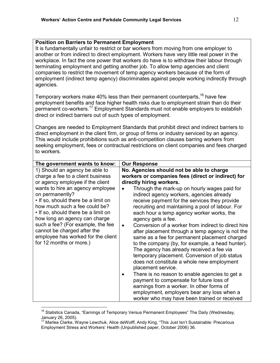#### Position on Barriers to Permanent Employment

It is fundamentally unfair to restrict or bar workers from moving from one employer to another or from indirect to direct employment. Workers have very little real power in the workplace. In fact the one power that workers do have is to withdraw their labour through terminating employment and getting another job. To allow temp agencies and client companies to restrict the movement of temp agency workers because of the form of employment (indirect temp agency) discriminates against people working indirectly through agencies.

Temporary workers make 40% less than their permanent counterparts,  $16$  have few employment benefits and face higher health risks due to employment strain than do their permanent co-workers.<sup>17</sup> Employment Standards must not enable employers to establish direct or indirect barriers out of such types of employment.

Changes are needed to Employment Standards that prohibit direct and indirect barriers to direct employment in the client firm, or group of firms or industry serviced by an agency. This would include prohibitions such as anti-competition clauses barring workers from seeking employment, fees or contractual restrictions on client companies and fees charged to workers.

| The government wants to know:                                                                                                                                                                                                                                                                                                            | <b>Our Response</b>                                                                                                                                                                                                                                                                                                                                                                                                                                                                                                                                                                                                                                                                                                                                                                                                                                                                                       |
|------------------------------------------------------------------------------------------------------------------------------------------------------------------------------------------------------------------------------------------------------------------------------------------------------------------------------------------|-----------------------------------------------------------------------------------------------------------------------------------------------------------------------------------------------------------------------------------------------------------------------------------------------------------------------------------------------------------------------------------------------------------------------------------------------------------------------------------------------------------------------------------------------------------------------------------------------------------------------------------------------------------------------------------------------------------------------------------------------------------------------------------------------------------------------------------------------------------------------------------------------------------|
| 1) Should an agency be able to                                                                                                                                                                                                                                                                                                           | No. Agencies should not be able to charge                                                                                                                                                                                                                                                                                                                                                                                                                                                                                                                                                                                                                                                                                                                                                                                                                                                                 |
| charge a fee to a client business                                                                                                                                                                                                                                                                                                        | workers or companies fees (direct or indirect) for                                                                                                                                                                                                                                                                                                                                                                                                                                                                                                                                                                                                                                                                                                                                                                                                                                                        |
| or agency employee if the client                                                                                                                                                                                                                                                                                                         | directly hiring workers.                                                                                                                                                                                                                                                                                                                                                                                                                                                                                                                                                                                                                                                                                                                                                                                                                                                                                  |
| wants to hire an agency employee<br>on permanently?<br>. If so, should there be a limit on<br>how much such a fee could be?<br>• If so, should there be a limit on<br>how long an agency can charge<br>such a fee? (For example, the fee<br>cannot be charged after the<br>employee has worked for the client<br>for 12 months or more.) | Through the mark-up on hourly wages paid for<br>indirect agency workers, agencies already<br>receive payment for the services they provide<br>recruiting and maintaining a pool of labour. For<br>each hour a temp agency worker works, the<br>agency gets a fee.<br>Conversion of a worker from indirect to direct hire<br>$\bullet$<br>after placement through a temp agency is not the<br>same as a fee for permanent placement charged<br>to the company (by, for example, a head hunter).<br>The agency has already received a fee via<br>temporary placement. Conversion of job status<br>does not constitute a whole new employment<br>placement service.<br>There is no reason to enable agencies to get a<br>payment to compensate for future loss of<br>earnings from a worker. In other forms of<br>employment, employers bear any loss when a<br>worker who may have been trained or received |

<sup>&</sup>lt;sup>16</sup> Statistics Canada, "Earnings of Temporary Versus Permanent Employees" The Daily (Wednesday, January 26, 2005).

 $\overline{a}$ 

<sup>&</sup>lt;sup>17</sup> Marlea Clarke, Wayne Lewchuk, Alice deWolff, Andy King, "This Just Isn't Sustainable: Precarious Employment Stress and Workers' Health (Unpublished paper, October 2006) 36.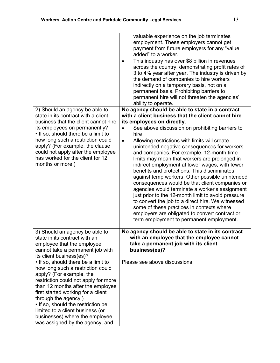|                                                                                                                                                                                                                                                                                                                                                                                                                                                                                                                                                                 | valuable experience on the job terminates<br>employment. These employers cannot get<br>payment from future employers for any "value<br>added" to a worker.<br>This industry has over \$8 billion in revenues<br>across the country, demonstrating profit rates of<br>3 to 4% year after year. The industry is driven by<br>the demand of companies to hire workers<br>indirectly on a temporary basis, not on a<br>permanent basis. Prohibiting barriers to<br>permanent hire will not threaten the agencies'<br>ability to operate.                                                                                                                                                                                                                                                                                                                                                                                      |
|-----------------------------------------------------------------------------------------------------------------------------------------------------------------------------------------------------------------------------------------------------------------------------------------------------------------------------------------------------------------------------------------------------------------------------------------------------------------------------------------------------------------------------------------------------------------|---------------------------------------------------------------------------------------------------------------------------------------------------------------------------------------------------------------------------------------------------------------------------------------------------------------------------------------------------------------------------------------------------------------------------------------------------------------------------------------------------------------------------------------------------------------------------------------------------------------------------------------------------------------------------------------------------------------------------------------------------------------------------------------------------------------------------------------------------------------------------------------------------------------------------|
| 2) Should an agency be able to<br>state in its contract with a client<br>business that the client cannot hire<br>its employees on permanently?<br>. If so, should there be a limit to<br>how long such a restriction could<br>apply? (For example, the clause<br>could not apply after the employee<br>has worked for the client for 12<br>months or more.)                                                                                                                                                                                                     | No agency should be able to state in a contract<br>with a client business that the client cannot hire<br>its employees on directly.<br>See above discussion on prohibiting barriers to<br>hire<br>Allowing restrictions with limits will create<br>$\bullet$<br>unintended negative consequences for workers<br>and companies. For example, 12-month time<br>limits may mean that workers are prolonged in<br>indirect employment at lower wages, with fewer<br>benefits and protections. This discriminates<br>against temp workers. Other possible unintended<br>consequences would be that client companies or<br>agencies would terminate a worker's assignment<br>just prior to the 12-month limit to avoid pressure<br>to convert the job to a direct hire. We witnessed<br>some of these practices in contexts where<br>employers are obligated to convert contract or<br>term employment to permanent employment. |
| 3) Should an agency be able to<br>state in its contract with an<br>employee that the employee<br>cannot take a permanent job with<br>its client business(es)?<br>• If so, should there be a limit to<br>how long such a restriction could<br>apply? (For example, the<br>restriction could not apply for more<br>than 12 months after the employee<br>first started working for a client<br>through the agency.)<br>• If so, should the restriction be<br>limited to a client business (or<br>businesses) where the employee<br>was assigned by the agency, and | No agency should be able to state in its contract<br>with an employee that the employee cannot<br>take a permanent job with its client<br>business(es)?<br>Please see above discussions.                                                                                                                                                                                                                                                                                                                                                                                                                                                                                                                                                                                                                                                                                                                                  |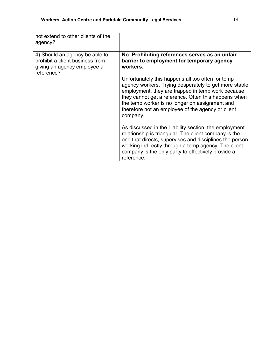| not extend to other clients of the<br>agency?                                                                  |                                                                                                                                                                                                                                                                                                                                            |
|----------------------------------------------------------------------------------------------------------------|--------------------------------------------------------------------------------------------------------------------------------------------------------------------------------------------------------------------------------------------------------------------------------------------------------------------------------------------|
| 4) Should an agency be able to<br>prohibit a client business from<br>giving an agency employee a<br>reference? | No. Prohibiting references serves as an unfair<br>barrier to employment for temporary agency<br>workers.                                                                                                                                                                                                                                   |
|                                                                                                                | Unfortunately this happens all too often for temp<br>agency workers. Trying desperately to get more stable<br>employment, they are trapped in temp work because<br>they cannot get a reference. Often this happens when<br>the temp worker is no longer on assignment and<br>therefore not an employee of the agency or client<br>company. |
|                                                                                                                | As discussed in the Liability section, the employment<br>relationship is triangular. The client company is the<br>one that directs, supervises and disciplines the person<br>working indirectly through a temp agency. The client<br>company is the only party to effectively provide a<br>reference.                                      |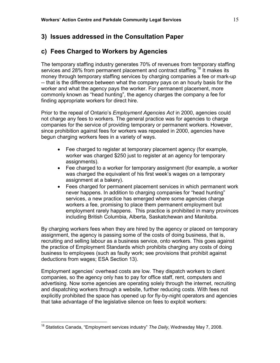## c) Fees Charged to Workers by Agencies

The temporary staffing industry generates 70% of revenues from temporary staffing services and 28% from permanent placement and contract staffing.<sup>18</sup> It makes its money through temporary staffing services by charging companies a fee or mark-up -- that is the difference between what the company pays on an hourly basis for the worker and what the agency pays the worker. For permanent placement, more commonly known as "head hunting", the agency charges the company a fee for finding appropriate workers for direct hire.

Prior to the repeal of Ontario's *Employment Agencies Act* in 2000, agencies could not charge any fees to workers. The general practice was for agencies to charge companies for the service of providing temporary or permanent workers. However, since prohibition against fees for workers was repealed in 2000, agencies have begun charging workers fees in a variety of ways.

- Fee charged to register at temporary placement agency (for example, worker was charged \$250 just to register at an agency for temporary assignments).
- Fee charged to a worker for temporary assignment (for example, a worker was charged the equivalent of his first week's wages on a temporary assignment at a bakery).
- Fees charged for permanent placement services in which permanent work never happens. In addition to charging companies for "head hunting" services, a new practice has emerged where some agencies charge workers a fee, promising to place them permanent employment but employment rarely happens. This practice is prohibited in many provinces including British Columbia, Alberta, Saskatchewan and Manitoba.

By charging workers fees when they are hired by the agency or placed on temporary assignment, the agency is passing some of the costs of doing business, that is, recruiting and selling labour as a business service, onto workers. This goes against the practice of Employment Standards which prohibits charging any costs of doing business to employees (such as faulty work; see provisions that prohibit against deductions from wages; ESA Section 13).

Employment agencies' overhead costs are low. They dispatch workers to client companies, so the agency only has to pay for office staff, rent, computers and advertising. Now some agencies are operating solely through the internet, recruiting and dispatching workers through a website, further reducing costs. With fees not explicitly prohibited the space has opened up for fly-by-night operators and agencies that take advantage of the legislative silence on fees to exploit workers:

 $\overline{a}$ 

<sup>&</sup>lt;sup>18</sup> Statistics Canada, "Employment services industry" The Daily, Wednesday May 7, 2008.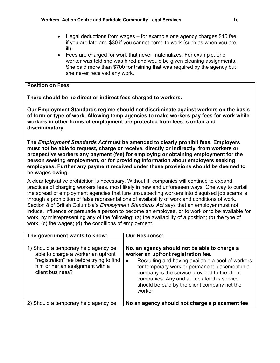- Illegal deductions from wages for example one agency charges \$15 fee if you are late and \$30 if you cannot come to work (such as when you are ill).
- Fees are charged for work that never materializes. For example, one worker was told she was hired and would be given cleaning assignments. She paid more than \$700 for training that was required by the agency but she never received any work.

## Position on Fees:

There should be no direct or indirect fees charged to workers.

Our Employment Standards regime should not discriminate against workers on the basis of form or type of work. Allowing temp agencies to make workers pay fees for work while workers in other forms of employment are protected from fees is unfair and discriminatory.

The Employment Standards Act must be amended to clearly prohibit fees. Employers must not be able to request, charge or receive, directly or indirectly, from workers or prospective workers any payment (fee) for employing or obtaining employment for the person seeking employment, or for providing information about employers seeking employees. Further any payment received under these provisions should be deemed to be wages owing.

A clear legislative prohibition is necessary. Without it, companies will continue to expand practices of charging workers fees, most likely in new and unforeseen ways. One way to curtail the spread of employment agencies that lure unsuspecting workers into disguised job scams is through a prohibition of false representations of availability of work and conditions of work. Section 8 of British Columbia's *Employment Standards Act* says that an employer must not induce, influence or persuade a person to become an employee, or to work or to be available for work, by misrepresenting any of the following: (a) the availability of a position; (b) the type of work; (c) the wages; (d) the conditions of employment.

| The government wants to know:                                                                                                                                                 | <b>Our Response:</b>                                                                                                                                                                                                                                                                                                                                   |
|-------------------------------------------------------------------------------------------------------------------------------------------------------------------------------|--------------------------------------------------------------------------------------------------------------------------------------------------------------------------------------------------------------------------------------------------------------------------------------------------------------------------------------------------------|
| 1) Should a temporary help agency be<br>able to charge a worker an upfront<br>"registration" fee before trying to find<br>him or her an assignment with a<br>client business? | No, an agency should not be able to charge a<br>worker an upfront registration fee.<br>Recruiting and having available a pool of workers<br>for temporary work or permanent placement in a<br>company is the service provided to the client<br>companies. Any and all fees for this service<br>should be paid by the client company not the<br>worker. |
| 2) Should a temporary help agency be                                                                                                                                          | No an agency should not charge a placement fee                                                                                                                                                                                                                                                                                                         |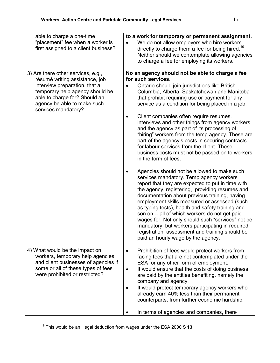| able to charge a one-time<br>"placement" fee when a worker is<br>first assigned to a client business?                                                                                                                           | to a work for temporary or permanent assignment.<br>We do not allow employers who hire workers<br>$\bullet$<br>directly to charge them a fee for being hired. <sup>19</sup>                                                                                                                                                                                                                                                                                                                                                                                                                                                                                                            |
|---------------------------------------------------------------------------------------------------------------------------------------------------------------------------------------------------------------------------------|----------------------------------------------------------------------------------------------------------------------------------------------------------------------------------------------------------------------------------------------------------------------------------------------------------------------------------------------------------------------------------------------------------------------------------------------------------------------------------------------------------------------------------------------------------------------------------------------------------------------------------------------------------------------------------------|
|                                                                                                                                                                                                                                 | Neither should we contemplate allowing agencies<br>to charge a fee for employing its workers.                                                                                                                                                                                                                                                                                                                                                                                                                                                                                                                                                                                          |
| 3) Are there other services, e.g.,<br>résumé writing assistance, job<br>interview preparation, that a<br>temporary help agency should be<br>able to charge for? Should an<br>agency be able to make such<br>services mandatory? | No an agency should not be able to charge a fee<br>for such services.<br>Ontario should join jurisdictions like British<br>$\bullet$<br>Columbia, Alberta, Saskatchewan and Manitoba<br>that prohibit requiring use or payment for any<br>service as a condition for being placed in a job.<br>Client companies often require resumes,<br>$\bullet$<br>interviews and other things from agency workers<br>and the agency as part of its processing of<br>"hiring" workers from the temp agency. These are<br>part of the agency's costs in securing contracts<br>for labour services from the client. These<br>business costs must not be passed on to workers<br>in the form of fees. |
|                                                                                                                                                                                                                                 | Agencies should not be allowed to make such<br>services mandatory. Temp agency workers<br>report that they are expected to put in time with<br>the agency, registering, providing resumes and<br>documentation about previous training, having<br>employment skills measured or assessed (such<br>as typing tests), health and safety training and<br>son on -- all of which workers do not get paid<br>wages for. Not only should such "services" not be<br>mandatory, but workers participating in required<br>registration, assessment and training should be<br>paid an hourly wage by the agency.                                                                                 |
| 4) What would be the impact on<br>workers, temporary help agencies<br>and client businesses of agencies if<br>some or all of these types of fees<br>were prohibited or restricted?                                              | Prohibition of fees would protect workers from<br>$\bullet$<br>facing fees that are not contemplated under the<br>ESA for any other form of employment.<br>It would ensure that the costs of doing business<br>$\bullet$<br>are paid by the entities benefiting, namely the<br>company and agency.<br>It would protect temporary agency workers who<br>already earn 40% less than their permanent                                                                                                                                                                                                                                                                                      |
|                                                                                                                                                                                                                                 | counterparts, from further economic hardship.<br>In terms of agencies and companies, there                                                                                                                                                                                                                                                                                                                                                                                                                                                                                                                                                                                             |

 $19$  This would be an illegal deduction from wages under the ESA 2000 S 13

 $\overline{a}$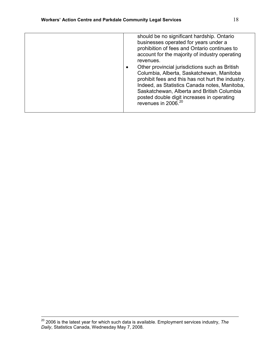| should be no significant hardship. Ontario<br>businesses operated for years under a<br>prohibition of fees and Ontario continues to<br>account for the majority of industry operating<br>revenues.<br>Other provincial jurisdictions such as British<br>Columbia, Alberta, Saskatchewan, Manitoba<br>prohibit fees and this has not hurt the industry.<br>Indeed, as Statistics Canada notes, Manitoba,<br>Saskatchewan, Alberta and British Columbia<br>posted double digit increases in operating<br>revenues in 2006. <sup>20</sup> |
|----------------------------------------------------------------------------------------------------------------------------------------------------------------------------------------------------------------------------------------------------------------------------------------------------------------------------------------------------------------------------------------------------------------------------------------------------------------------------------------------------------------------------------------|
|                                                                                                                                                                                                                                                                                                                                                                                                                                                                                                                                        |

 $^{20}$  2006 is the latest year for which such data is available. Employment services industry, The Daily, Statistics Canada, Wednesday May 7, 2008.

l.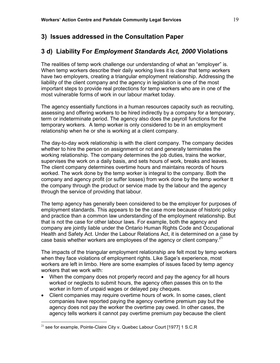# 3 d) Liability For Employment Standards Act, 2000 Violations

The realities of temp work challenge our understanding of what an "employer" is. When temp workers describe their daily working lives it is clear that temp workers have two employers, creating a triangular employment relationship. Addressing the liability of the client company and the agency in legislation is one of the most important steps to provide real protections for temp workers who are in one of the most vulnerable forms of work in our labour market today.

The agency essentially functions in a human resources capacity such as recruiting, assessing and offering workers to be hired indirectly by a company for a temporary, term or indeterminate period. The agency also does the payroll functions for the temporary workers. A temp worker is only considered to be in an employment relationship when he or she is working at a client company.

The day-to-day work relationship is with the client company. The company decides whether to hire the person on assignment or not and generally terminates the working relationship. The company determines the job duties, trains the worker, supervises the work on a daily basis, and sets hours of work, breaks and leaves. The client company determines overtime hours and maintains records of hours worked. The work done by the temp worker is integral to the company. Both the company and agency profit (or suffer losses) from work done by the temp worker tt the company through the product or service made by the labour and the agency through the service of providing that labour.

The temp agency has generally been considered to be the employer for purposes of employment standards. This appears to be the case more because of historic policy and practice than a common law understanding of the employment relationship. But that is not the case for other labour laws. For example, both the agency and company are jointly liable under the Ontario Human Rights Code and Occupational Health and Safety Act. Under the Labour Relations Act, it is determined on a case by case basis whether workers are employees of the agency or client company. $^{21}$ 

The impacts of the triangular employment relationship are felt most by temp workers when they face violations of employment rights. Like Sage's experience, most workers are left in limbo. Here are some examples of issues faced by temp agency workers that we work with:

- When the company does not properly record and pay the agency for all hours worked or neglects to submit hours, the agency often passes this on to the worker in form of unpaid wages or delayed pay cheques.
- Client companies may require overtime hours of work. In some cases, client companies have reported paying the agency overtime premium pay but the agency does not pay the worker the overtime pay owed. In other cases, the agency tells workers it cannot pay overtime premium pay because the client

 $\overline{a}$ 

 $^{21}$  see for example, Pointe-Claire City v. Quebec Labour Court [1977] 1 S.C.R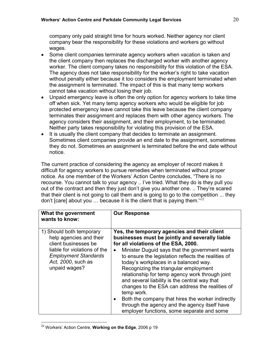company only paid straight time for hours worked. Neither agency nor client company bear the responsibility for these violations and workers go without wages.

- Some client companies terminate agency workers when vacation is taken and the client company then replaces the discharged worker with another agency worker. The client company takes no responsibility for this violation of the ESA. The agency does not take responsibility for the worker's right to take vacation without penalty either because it too considers the employment terminated when the assignment is terminated. The impact of this is that many temp workers cannot take vacation without losing their job.
- Unpaid emergency leave is often the only option for agency workers to take time off when sick. Yet many temp agency workers who would be eligible for job protected emergency leave cannot take this leave because the client company terminates their assignment and replaces them with other agency workers. The agency considers their assignment, and their employment, to be terminated. Neither party takes responsibility for violating this provision of the ESA.
- It is usually the client company that decides to terminate an assignment. Sometimes client companies provide an end date to the assignment, sometimes they do not. Sometimes an assignment is terminated before the end date without notice.

The current practice of considering the agency as employer of record makes it difficult for agency workers to pursue remedies when terminated without proper notice. As one member of the Workers' Action Centre concludes, "There is no recourse. You cannot talk to your agency .. I've tried. What they do is they pull you out of the contract and then they just don't give you another one. .. They're scared that their client is not going to call them and is going to go to the competition ... they don't [care] about you ... because it is the client that is paying them." $^{22}$ 

| What the government<br>wants to know:                                                              | <b>Our Response</b>                                                                                                                                                                                                                                                                                                                                                                                               |
|----------------------------------------------------------------------------------------------------|-------------------------------------------------------------------------------------------------------------------------------------------------------------------------------------------------------------------------------------------------------------------------------------------------------------------------------------------------------------------------------------------------------------------|
| 1) Should both temporary<br>help agencies and their<br>client businesses be                        | Yes, the temporary agencies and their client<br>businesses must be jointly and severally liable<br>for all violations of the ESA, 2000.                                                                                                                                                                                                                                                                           |
| liable for violations of the<br><b>Employment Standards</b><br>Act, 2000, such as<br>unpaid wages? | Minister Duguid says that the government wants<br>to ensure the legislation reflects the realities of<br>today's workplaces in a balanced way.<br>Recognizing the triangular employment<br>relationship for temp agency work through joint<br>and several liability is the central way that<br>changes to the ESA can address the realities of<br>temp work.<br>Both the company that hires the worker indirectly |
|                                                                                                    | through the agency and the agency itself have<br>employer functions, some separate and some                                                                                                                                                                                                                                                                                                                       |

<sup>&</sup>lt;sup>22</sup> Workers' Action Centre, Working on the Edge, 2006 p 19

l.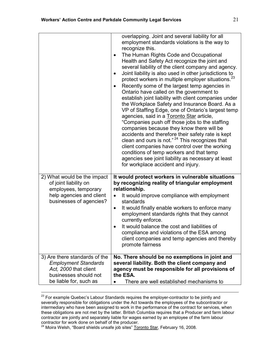|                                                                                                                                          | overlapping. Joint and several liability for all<br>employment standards violations is the way to<br>recognize this.<br>The Human Rights Code and Occupational<br>$\bullet$<br>Health and Safety Act recognize the joint and<br>several liability of the client company and agency.<br>Joint liability is also used in other jurisdictions to<br>$\bullet$<br>protect workers in multiple employer situations. <sup>23</sup><br>Recently some of the largest temp agencies in<br>$\bullet$<br>Ontario have called on the government to<br>establish joint liability with client companies under<br>the Workplace Safety and Insurance Board. As a<br>VP of Staffing Edge, one of Ontario's largest temp<br>agencies, said in a Toronto Star article,<br>"Companies push off those jobs to the staffing<br>companies because they know there will be<br>accidents and therefore their safety rate is kept<br>clean and ours is not." <sup>24</sup> This recognizes that<br>client companies have control over the working<br>conditions of temp workers and that temp<br>agencies see joint liability as necessary at least<br>for workplace accident and injury. |
|------------------------------------------------------------------------------------------------------------------------------------------|------------------------------------------------------------------------------------------------------------------------------------------------------------------------------------------------------------------------------------------------------------------------------------------------------------------------------------------------------------------------------------------------------------------------------------------------------------------------------------------------------------------------------------------------------------------------------------------------------------------------------------------------------------------------------------------------------------------------------------------------------------------------------------------------------------------------------------------------------------------------------------------------------------------------------------------------------------------------------------------------------------------------------------------------------------------------------------------------------------------------------------------------------------------|
| 2) What would be the impact<br>of joint liability on<br>employees, temporary<br>help agencies and client<br>businesses of agencies?      | It would protect workers in vulnerable situations<br>by recognizing reality of triangular employment<br>relationship.<br>It would improve compliance with employment<br>$\bullet$<br>standards<br>It would finally enable workers to enforce many<br>$\bullet$<br>employment standards rights that they cannot<br>currently enforce.<br>It would balance the cost and liabilities of<br>$\bullet$<br>compliance and violations of the ESA among<br>client companies and temp agencies and thereby<br>promote fairness                                                                                                                                                                                                                                                                                                                                                                                                                                                                                                                                                                                                                                            |
| 3) Are there standards of the<br><b>Employment Standards</b><br>Act, 2000 that client<br>businesses should not<br>be liable for, such as | No. There should be no exemptions in joint and<br>several liability. Both the client company and<br>agency must be responsible for all provisions of<br>the ESA.<br>There are well established mechanisms to                                                                                                                                                                                                                                                                                                                                                                                                                                                                                                                                                                                                                                                                                                                                                                                                                                                                                                                                                     |

<sup>&</sup>lt;sup>23</sup> For example Quebec's Labour Standards requires the employer-contractor to be jointly and severally responsible for obligations under the Act towards the employees of the subcontractor or intermediary who have been assigned to work in the performance of the contract for services, when these obligations are not met by the latter. British Columbia requires that a Producer and farm labour contractor are jointly and separately liable for wages earned by an employee of the farm labour contractor for work done on behalf of the producer.

l.

<sup>&</sup>lt;sup>24</sup> Moira Welsh, "Board shields unsafe job sites" Toronto Star, February 16, 2008.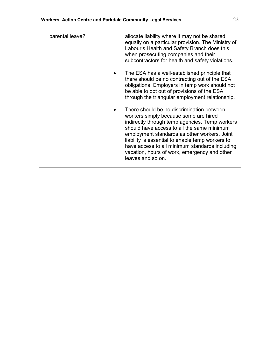| parental leave? | allocate liability where it may not be shared<br>equally on a particular provision. The Ministry of<br>Labour's Health and Safety Branch does this<br>when prosecuting companies and their<br>subcontractors for health and safety violations.                                                                                                                                                                |
|-----------------|---------------------------------------------------------------------------------------------------------------------------------------------------------------------------------------------------------------------------------------------------------------------------------------------------------------------------------------------------------------------------------------------------------------|
|                 | The ESA has a well-established principle that<br>there should be no contracting out of the ESA<br>obligations. Employers in temp work should not<br>be able to opt out of provisions of the ESA<br>through the triangular employment relationship.                                                                                                                                                            |
|                 | There should be no discrimination between<br>workers simply because some are hired<br>indirectly through temp agencies. Temp workers<br>should have access to all the same minimum<br>employment standards as other workers. Joint<br>liability is essential to enable temp workers to<br>have access to all minimum standards including<br>vacation, hours of work, emergency and other<br>leaves and so on. |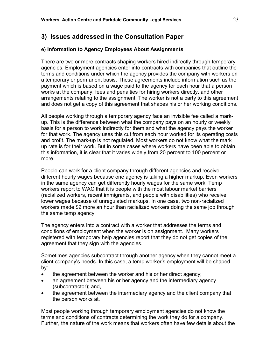### e) Information to Agency Employees About Assignments

There are two or more contracts shaping workers hired indirectly through temporary agencies. Employment agencies enter into contracts with companies that outline the terms and conditions under which the agency provides the company with workers on a temporary or permanent basis. These agreements include information such as the payment which is based on a wage paid to the agency for each hour that a person works at the company, fees and penalties for hiring workers directly, and other arrangements relating to the assignment. The worker is not a party to this agreement and does not get a copy of this agreement that shapes his or her working conditions.

All people working through a temporary agency face an invisible fee called a markup. This is the difference between what the company pays on an hourly or weekly basis for a person to work indirectly for them and what the agency pays the worker for that work. The agency uses this cut from each hour worked for its operating costs and profit. The mark-up is not regulated. Most workers do not know what the mark up rate is for their work. But in some cases where workers have been able to obtain this information, it is clear that it varies widely from 20 percent to 100 percent or more.

People can work for a client company through different agencies and receive different hourly wages because one agency is taking a higher markup. Even workers in the same agency can get differently hourly wages for the same work. Temp workers report to WAC that it is people with the most labour market barriers (racialized workers, recent immigrants, and people with disabilities) who receive lower wages because of unregulated markups. In one case, two non-racialized workers made \$2 more an hour than racialized workers doing the same job through the same temp agency.

The agency enters into a contract with a worker that addresses the terms and conditions of employment when the worker is on assignment. Many workers registered with temporary help agencies report that they do not get copies of the agreement that they sign with the agencies.

Sometimes agencies subcontract through another agency when they cannot meet a client company's needs. In this case, a temp worker's employment will be shaped by:

- the agreement between the worker and his or her direct agency;
- an agreement between his or her agency and the intermediary agency (subcontractor); and,
- the agreement between the intermediary agency and the client company that the person works at.

Most people working through temporary employment agencies do not know the terms and conditions of contracts determining the work they do for a company. Further, the nature of the work means that workers often have few details about the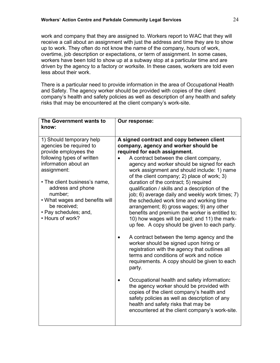work and company that they are assigned to. Workers report to WAC that they will receive a call about an assignment with just the address and time they are to show up to work. They often do not know the name of the company, hours of work, overtime, job description or expectations, or term of assignment. In some cases, workers have been told to show up at a subway stop at a particular time and are driven by the agency to a factory or worksite. In these cases, workers are told even less about their work.

There is a particular need to provide information in the area of Occupational Health and Safety. The agency worker should be provided with copies of the client company's health and safety policies as well as description of any health and safety risks that may be encountered at the client company's work-site.

| The Government wants to<br>know:                                                                                                                                                                                                                                                                                  | Our response:                                                                                                                                                                                                                                                                                                                                                                                                                                                                                                                                                                                                                                                                                                                                                                                                                                                                                                                                                                                                                                                                                                                                                                                                                            |
|-------------------------------------------------------------------------------------------------------------------------------------------------------------------------------------------------------------------------------------------------------------------------------------------------------------------|------------------------------------------------------------------------------------------------------------------------------------------------------------------------------------------------------------------------------------------------------------------------------------------------------------------------------------------------------------------------------------------------------------------------------------------------------------------------------------------------------------------------------------------------------------------------------------------------------------------------------------------------------------------------------------------------------------------------------------------------------------------------------------------------------------------------------------------------------------------------------------------------------------------------------------------------------------------------------------------------------------------------------------------------------------------------------------------------------------------------------------------------------------------------------------------------------------------------------------------|
| 1) Should temporary help<br>agencies be required to<br>provide employees the<br>following types of written<br>information about an<br>assignment:<br>• The client business's name,<br>address and phone<br>number;<br>. What wages and benefits will<br>be received;<br>• Pay schedules; and,<br>• Hours of work? | A signed contract and copy between client<br>company, agency and worker should be<br>required for each assignment.<br>A contract between the client company,<br>agency and worker should be signed for each<br>work assignment and should include: 1) name<br>of the client company; 2) place of work; 3)<br>duration of the contract; 5) required<br>qualification / skills and a description of the<br>job; 6) average daily and weekly work times; 7)<br>the scheduled work time and working time<br>arrangement; 8) gross wages; 9) any other<br>benefits and premium the worker is entitled to;<br>10) how wages will be paid; and 11) the mark-<br>up fee. A copy should be given to each party.<br>A contract between the temp agency and the<br>worker should be signed upon hiring or<br>registration with the agency that outlines all<br>terms and conditions of work and notice<br>requirements. A copy should be given to each<br>party.<br>Occupational health and safety information:<br>the agency worker should be provided with<br>copies of the client company's health and<br>safety policies as well as description of any<br>health and safety risks that may be<br>encountered at the client company's work-site. |
|                                                                                                                                                                                                                                                                                                                   |                                                                                                                                                                                                                                                                                                                                                                                                                                                                                                                                                                                                                                                                                                                                                                                                                                                                                                                                                                                                                                                                                                                                                                                                                                          |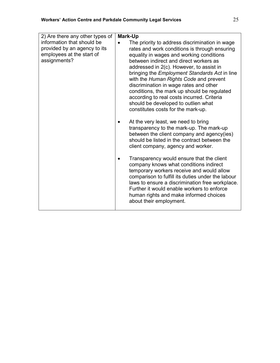| 2) Are there any other types of<br>information that should be<br>provided by an agency to its<br>employees at the start of<br>assignments? | <b>Mark-Up</b><br>The priority to address discrimination in wage<br>rates and work conditions is through ensuring<br>equality in wages and working conditions<br>between indirect and direct workers as<br>addressed in 2(c). However, to assist in<br>bringing the <i>Employment Standards Act</i> in line<br>with the Human Rights Code and prevent<br>discrimination in wage rates and other<br>conditions, the mark up should be regulated<br>according to real costs incurred. Criteria<br>should be developed to outlien what<br>constitutes costs for the mark-up.<br>At the very least, we need to bring<br>transparency to the mark-up. The mark-up<br>between the client company and agency(ies)<br>should be listed in the contract between the<br>client company, agency and worker.<br>Transparency would ensure that the client<br>company knows what conditions indirect<br>temporary workers receive and would allow<br>comparison to fulfill its duties under the labour<br>laws to ensure a discrimination free workplace.<br>Further it would enable workers to enforce<br>human rights and make informed choices<br>about their employment. |
|--------------------------------------------------------------------------------------------------------------------------------------------|-----------------------------------------------------------------------------------------------------------------------------------------------------------------------------------------------------------------------------------------------------------------------------------------------------------------------------------------------------------------------------------------------------------------------------------------------------------------------------------------------------------------------------------------------------------------------------------------------------------------------------------------------------------------------------------------------------------------------------------------------------------------------------------------------------------------------------------------------------------------------------------------------------------------------------------------------------------------------------------------------------------------------------------------------------------------------------------------------------------------------------------------------------------------|